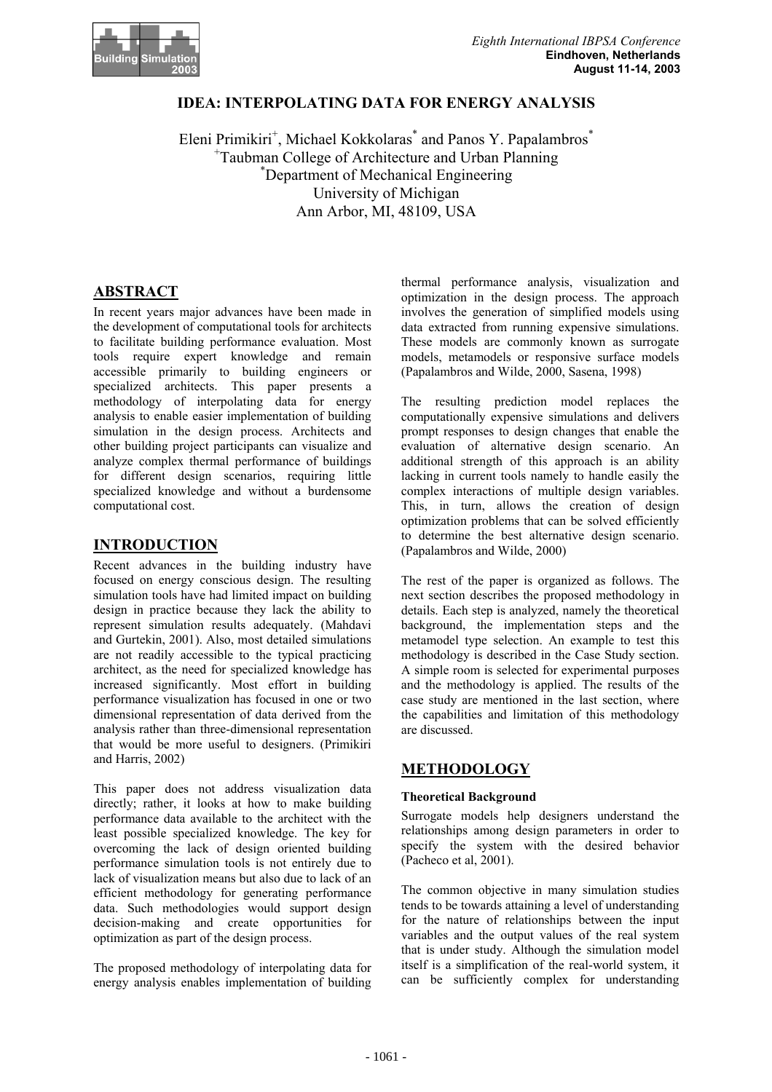

# **IDEA: INTERPOLATING DATA FOR ENERGY ANALYSIS**

Eleni Primikiri<sup>+</sup>, Michael Kokkolaras<sup>\*</sup> and Panos Y. Papalambros<sup>\*</sup> <sup>+</sup>Taubman College of Architecture and Urban Planning<br>
<sup>\*</sup>Department of Mechanical Engineering Department of Mechanical Engineering University of Michigan Ann Arbor, MI, 48109, USA

# **ABSTRACT**

In recent years major advances have been made in the development of computational tools for architects to facilitate building performance evaluation. Most tools require expert knowledge and remain accessible primarily to building engineers or specialized architects. This paper presents a methodology of interpolating data for energy analysis to enable easier implementation of building simulation in the design process. Architects and other building project participants can visualize and analyze complex thermal performance of buildings for different design scenarios, requiring little specialized knowledge and without a burdensome computational cost.

## **INTRODUCTION**

Recent advances in the building industry have focused on energy conscious design. The resulting simulation tools have had limited impact on building design in practice because they lack the ability to represent simulation results adequately. (Mahdavi and Gurtekin, 2001). Also, most detailed simulations are not readily accessible to the typical practicing architect, as the need for specialized knowledge has increased significantly. Most effort in building performance visualization has focused in one or two dimensional representation of data derived from the analysis rather than three-dimensional representation that would be more useful to designers. (Primikiri and Harris, 2002)

This paper does not address visualization data directly; rather, it looks at how to make building performance data available to the architect with the least possible specialized knowledge. The key for overcoming the lack of design oriented building performance simulation tools is not entirely due to lack of visualization means but also due to lack of an efficient methodology for generating performance data. Such methodologies would support design decision-making and create opportunities for optimization as part of the design process.

The proposed methodology of interpolating data for energy analysis enables implementation of building

thermal performance analysis, visualization and optimization in the design process. The approach involves the generation of simplified models using data extracted from running expensive simulations. These models are commonly known as surrogate models, metamodels or responsive surface models (Papalambros and Wilde, 2000, Sasena, 1998)

The resulting prediction model replaces the computationally expensive simulations and delivers prompt responses to design changes that enable the evaluation of alternative design scenario. An additional strength of this approach is an ability lacking in current tools namely to handle easily the complex interactions of multiple design variables. This, in turn, allows the creation of design optimization problems that can be solved efficiently to determine the best alternative design scenario. (Papalambros and Wilde, 2000)

The rest of the paper is organized as follows. The next section describes the proposed methodology in details. Each step is analyzed, namely the theoretical background, the implementation steps and the metamodel type selection. An example to test this methodology is described in the Case Study section. A simple room is selected for experimental purposes and the methodology is applied. The results of the case study are mentioned in the last section, where the capabilities and limitation of this methodology are discussed.

## **METHODOLOGY**

#### **Theoretical Background**

Surrogate models help designers understand the relationships among design parameters in order to specify the system with the desired behavior (Pacheco et al, 2001).

The common objective in many simulation studies tends to be towards attaining a level of understanding for the nature of relationships between the input variables and the output values of the real system that is under study. Although the simulation model itself is a simplification of the real-world system, it can be sufficiently complex for understanding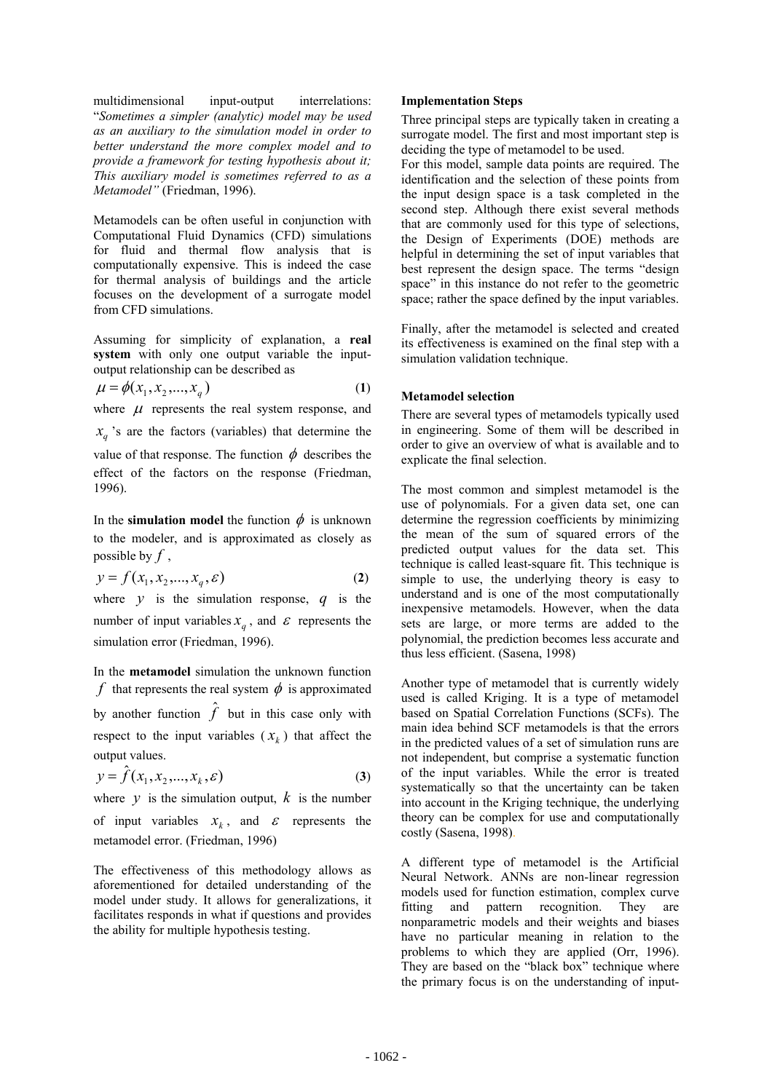multidimensional input-output interrelations: "*Sometimes a simpler (analytic) model may be used as an auxiliary to the simulation model in order to better understand the more complex model and to provide a framework for testing hypothesis about it; This auxiliary model is sometimes referred to as a Metamodel"* (Friedman, 1996).

Metamodels can be often useful in conjunction with Computational Fluid Dynamics (CFD) simulations for fluid and thermal flow analysis that is computationally expensive. This is indeed the case for thermal analysis of buildings and the article focuses on the development of a surrogate model from CFD simulations.

Assuming for simplicity of explanation, a **real system** with only one output variable the inputoutput relationship can be described as

$$
\mu = \phi(x_1, x_2, ..., x_q)
$$
 (1)

where  $\mu$  represents the real system response, and

 $x_a$ 's are the factors (variables) that determine the value of that response. The function  $\phi$  describes the effect of the factors on the response (Friedman, 1996).

In the **simulation model** the function  $\phi$  is unknown to the modeler, and is approximated as closely as possible by  $f$ ,

$$
y = f(x_1, x_2, ..., x_q, \varepsilon)
$$
 (2)

where  $y$  is the simulation response,  $q$  is the number of input variables  $x_a$ , and  $\varepsilon$  represents the simulation error (Friedman, 1996).

In the **metamodel** simulation the unknown function *f* that represents the real system  $\phi$  is approximated by another function  $\hat{f}$  but in this case only with respect to the input variables  $(x<sub>k</sub>)$  that affect the output values.

$$
y = \hat{f}(x_1, x_2, \dots, x_k, \varepsilon)
$$
\n(3)

where  $y$  is the simulation output,  $k$  is the number of input variables  $x_k$ , and  $\varepsilon$  represents the metamodel error. (Friedman, 1996)

The effectiveness of this methodology allows as aforementioned for detailed understanding of the model under study. It allows for generalizations, it facilitates responds in what if questions and provides the ability for multiple hypothesis testing.

#### **Implementation Steps**

Three principal steps are typically taken in creating a surrogate model. The first and most important step is deciding the type of metamodel to be used.

For this model, sample data points are required. The identification and the selection of these points from the input design space is a task completed in the second step. Although there exist several methods that are commonly used for this type of selections, the Design of Experiments (DOE) methods are helpful in determining the set of input variables that best represent the design space. The terms "design space" in this instance do not refer to the geometric space; rather the space defined by the input variables.

Finally, after the metamodel is selected and created its effectiveness is examined on the final step with a simulation validation technique.

#### **Metamodel selection**

There are several types of metamodels typically used in engineering. Some of them will be described in order to give an overview of what is available and to explicate the final selection.

The most common and simplest metamodel is the use of polynomials. For a given data set, one can determine the regression coefficients by minimizing the mean of the sum of squared errors of the predicted output values for the data set. This technique is called least-square fit. This technique is simple to use, the underlying theory is easy to understand and is one of the most computationally inexpensive metamodels. However, when the data sets are large, or more terms are added to the polynomial, the prediction becomes less accurate and thus less efficient. (Sasena, 1998)

Another type of metamodel that is currently widely used is called Kriging. It is a type of metamodel based on Spatial Correlation Functions (SCFs). The main idea behind SCF metamodels is that the errors in the predicted values of a set of simulation runs are not independent, but comprise a systematic function of the input variables. While the error is treated systematically so that the uncertainty can be taken into account in the Kriging technique, the underlying theory can be complex for use and computationally costly (Sasena, 1998).

A different type of metamodel is the Artificial Neural Network. ANNs are non-linear regression models used for function estimation, complex curve fitting and pattern recognition. They are nonparametric models and their weights and biases have no particular meaning in relation to the problems to which they are applied (Orr, 1996). They are based on the "black box" technique where the primary focus is on the understanding of input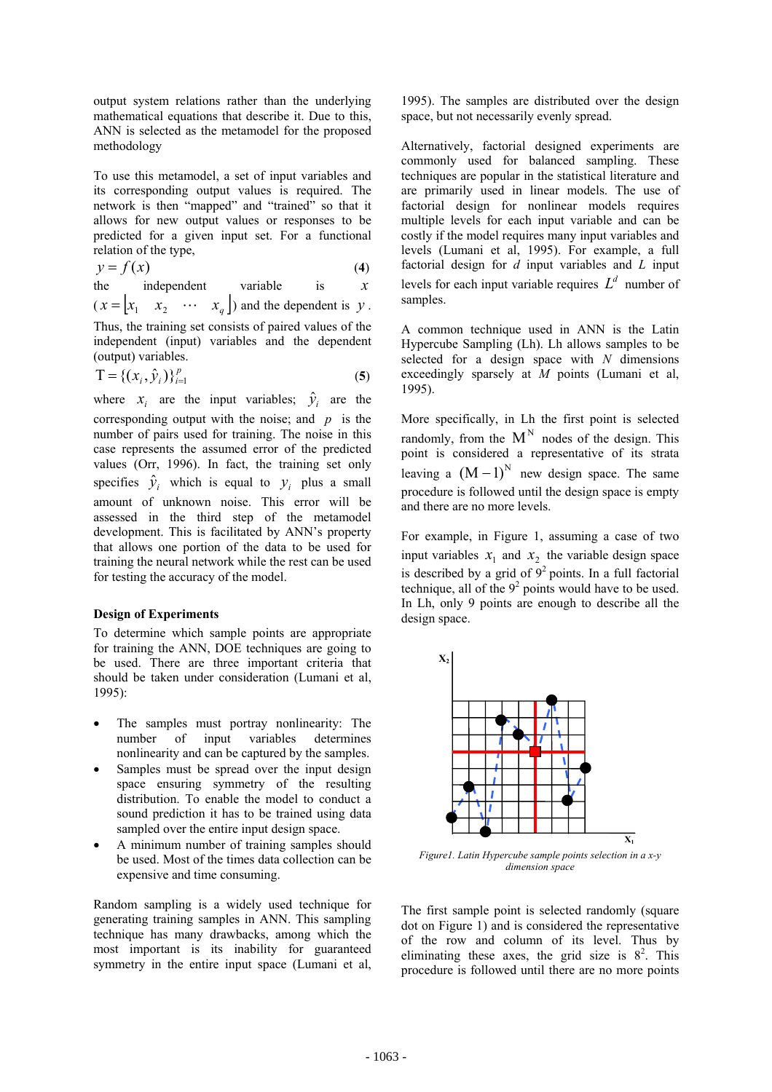output system relations rather than the underlying mathematical equations that describe it. Due to this, ANN is selected as the metamodel for the proposed methodology

To use this metamodel, a set of input variables and its corresponding output values is required. The network is then "mapped" and "trained" so that it allows for new output values or responses to be predicted for a given input set. For a functional relation of the type,

$$
y = f(x)
$$
 (4)  
the independent variable is x

 $(x = \begin{bmatrix} x_1 & x_2 & \cdots & x_q \end{bmatrix}$  and the dependent is *y*.

Thus, the training set consists of paired values of the independent (input) variables and the dependent (output) variables.

$$
T = \{ (x_i, \hat{y}_i) \}_{i=1}^p
$$
 (5)

where  $x_i$  are the input variables;  $\hat{y}_i$  are the corresponding output with the noise; and *p* is the number of pairs used for training. The noise in this case represents the assumed error of the predicted values (Orr, 1996). In fact, the training set only specifies  $\hat{y}_i$  which is equal to  $y_i$  plus a small amount of unknown noise. This error will be assessed in the third step of the metamodel development. This is facilitated by ANN's property that allows one portion of the data to be used for training the neural network while the rest can be used for testing the accuracy of the model.

#### **Design of Experiments**

To determine which sample points are appropriate for training the ANN, DOE techniques are going to be used. There are three important criteria that should be taken under consideration (Lumani et al, 1995):

- The samples must portray nonlinearity: The number of input variables determines nonlinearity and can be captured by the samples.
- Samples must be spread over the input design space ensuring symmetry of the resulting distribution. To enable the model to conduct a sound prediction it has to be trained using data sampled over the entire input design space.
- A minimum number of training samples should be used. Most of the times data collection can be expensive and time consuming.

Random sampling is a widely used technique for generating training samples in ANN. This sampling technique has many drawbacks, among which the most important is its inability for guaranteed symmetry in the entire input space (Lumani et al, 1995). The samples are distributed over the design space, but not necessarily evenly spread.

Alternatively, factorial designed experiments are commonly used for balanced sampling. These techniques are popular in the statistical literature and are primarily used in linear models. The use of factorial design for nonlinear models requires multiple levels for each input variable and can be costly if the model requires many input variables and levels (Lumani et al, 1995). For example, a full factorial design for *d* input variables and *L* input levels for each input variable requires  $L^d$  number of samples.

A common technique used in ANN is the Latin Hypercube Sampling (Lh). Lh allows samples to be selected for a design space with *N* dimensions exceedingly sparsely at *M* points (Lumani et al, 1995).

More specifically, in Lh the first point is selected randomly, from the  $M^N$  nodes of the design. This point is considered a representative of its strata leaving a  $(M - 1)^N$  new design space. The same procedure is followed until the design space is empty and there are no more levels.

For example, in Figure 1, assuming a case of two input variables  $x_1$  and  $x_2$  the variable design space is described by a grid of  $9^2$  points. In a full factorial technique, all of the  $9^2$  points would have to be used. In Lh, only 9 points are enough to describe all the design space.



*Figure1. Latin Hypercube sample points selection in a x-y dimension space* 

The first sample point is selected randomly (square dot on Figure 1) and is considered the representative of the row and column of its level. Thus by eliminating these axes, the grid size is  $8^2$ . This procedure is followed until there are no more points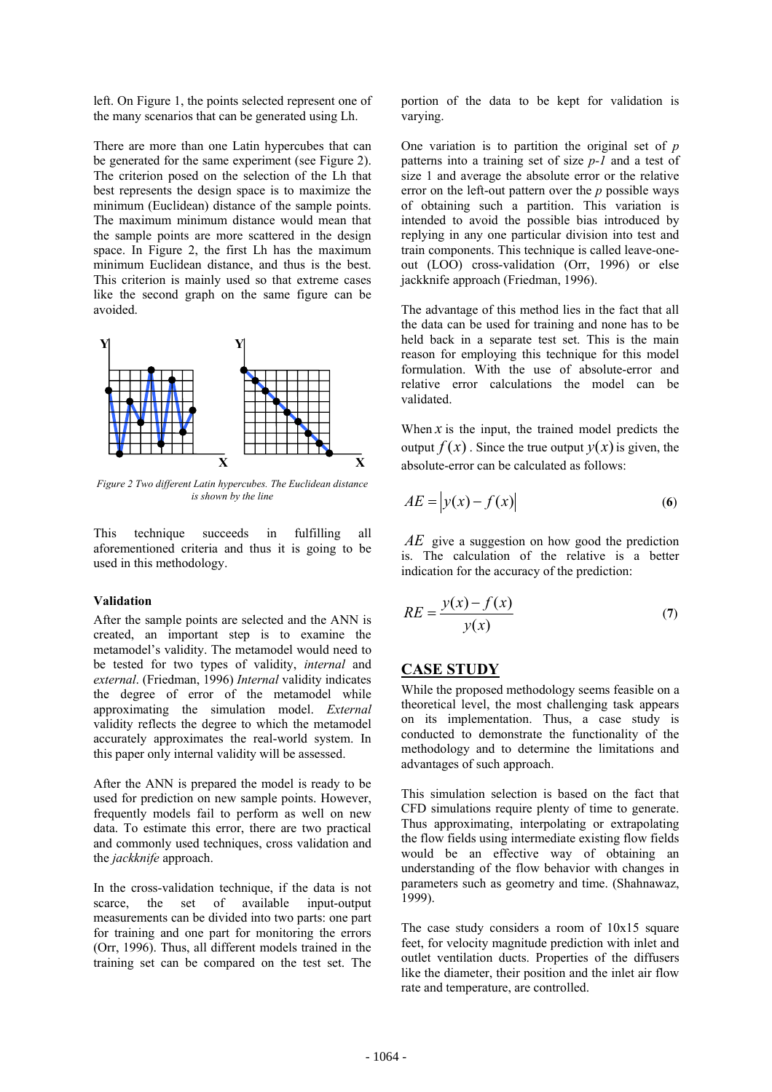left. On Figure 1, the points selected represent one of the many scenarios that can be generated using Lh.

There are more than one Latin hypercubes that can be generated for the same experiment (see Figure 2). The criterion posed on the selection of the Lh that best represents the design space is to maximize the minimum (Euclidean) distance of the sample points. The maximum minimum distance would mean that the sample points are more scattered in the design space. In Figure 2, the first Lh has the maximum minimum Euclidean distance, and thus is the best. This criterion is mainly used so that extreme cases like the second graph on the same figure can be avoided.



*Figure 2 Two different Latin hypercubes. The Euclidean distance is shown by the line* 

This technique succeeds in fulfilling all aforementioned criteria and thus it is going to be used in this methodology.

#### **Validation**

After the sample points are selected and the ANN is created, an important step is to examine the metamodel's validity. The metamodel would need to be tested for two types of validity, *internal* and *external*. (Friedman, 1996) *Internal* validity indicates the degree of error of the metamodel while approximating the simulation model. *External* validity reflects the degree to which the metamodel accurately approximates the real-world system. In this paper only internal validity will be assessed.

After the ANN is prepared the model is ready to be used for prediction on new sample points. However, frequently models fail to perform as well on new data. To estimate this error, there are two practical and commonly used techniques, cross validation and the *jackknife* approach.

In the cross-validation technique, if the data is not scarce, the set of available input-output measurements can be divided into two parts: one part for training and one part for monitoring the errors (Orr, 1996). Thus, all different models trained in the training set can be compared on the test set. The portion of the data to be kept for validation is varying.

One variation is to partition the original set of *p* patterns into a training set of size *p-1* and a test of size 1 and average the absolute error or the relative error on the left-out pattern over the *p* possible ways of obtaining such a partition. This variation is intended to avoid the possible bias introduced by replying in any one particular division into test and train components. This technique is called leave-oneout (LOO) cross-validation (Orr, 1996) or else jackknife approach (Friedman, 1996).

The advantage of this method lies in the fact that all the data can be used for training and none has to be held back in a separate test set. This is the main reason for employing this technique for this model formulation. With the use of absolute-error and relative error calculations the model can be validated.

When  $x$  is the input, the trained model predicts the output  $f(x)$ . Since the true output  $y(x)$  is given, the absolute-error can be calculated as follows:

$$
AE = |y(x) - f(x)| \tag{6}
$$

AE give a suggestion on how good the prediction is. The calculation of the relative is a better indication for the accuracy of the prediction:

$$
RE = \frac{y(x) - f(x)}{y(x)}\tag{7}
$$

#### **CASE STUDY**

While the proposed methodology seems feasible on a theoretical level, the most challenging task appears on its implementation. Thus, a case study is conducted to demonstrate the functionality of the methodology and to determine the limitations and advantages of such approach.

This simulation selection is based on the fact that CFD simulations require plenty of time to generate. Thus approximating, interpolating or extrapolating the flow fields using intermediate existing flow fields would be an effective way of obtaining an understanding of the flow behavior with changes in parameters such as geometry and time. (Shahnawaz, 1999).

The case study considers a room of 10x15 square feet, for velocity magnitude prediction with inlet and outlet ventilation ducts. Properties of the diffusers like the diameter, their position and the inlet air flow rate and temperature, are controlled.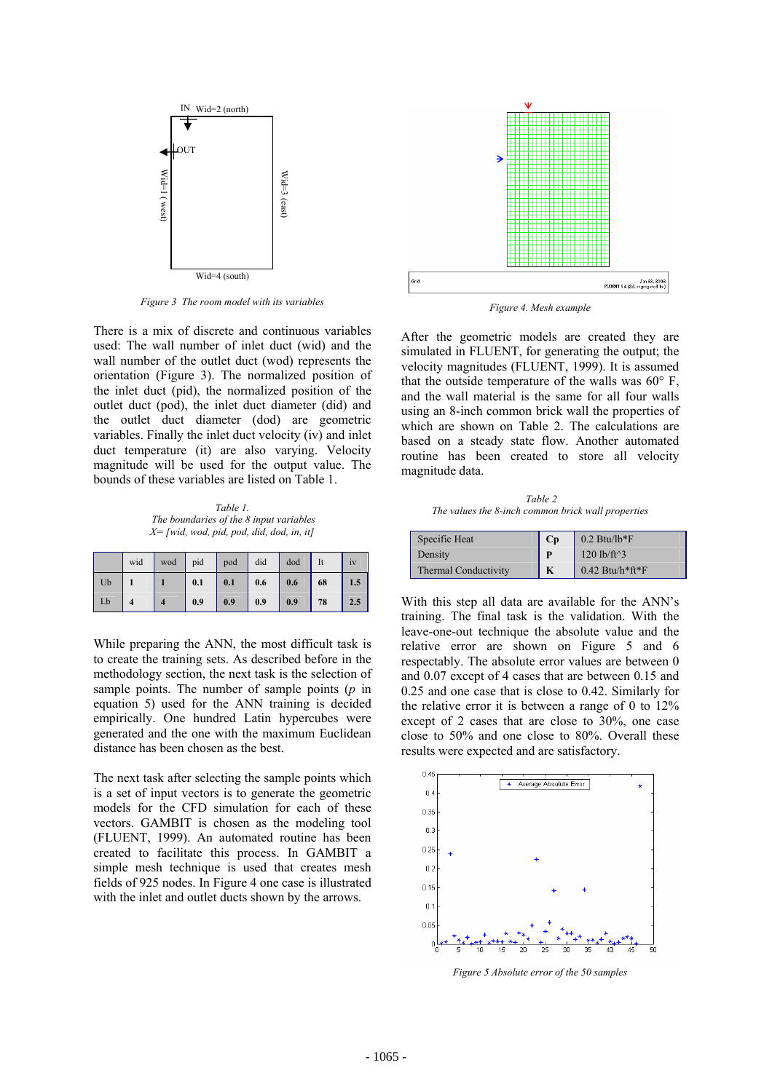

*Figure 3 The room model with its variables* 

There is a mix of discrete and continuous variables used: The wall number of inlet duct (wid) and the wall number of the outlet duct (wod) represents the orientation (Figure 3). The normalized position of the inlet duct (pid), the normalized position of the outlet duct (pod), the inlet duct diameter (did) and the outlet duct diameter (dod) are geometric variables. Finally the inlet duct velocity (iv) and inlet duct temperature (it) are also varying. Velocity magnitude will be used for the output value. The bounds of these variables are listed on Table 1.

*Table 1. The boundaries of the 8 input variables X= [wid, wod, pid, pod, did, dod, in, it]* 

|    | wid | wod pid |     | pod | did | dod               |    | iv  |
|----|-----|---------|-----|-----|-----|-------------------|----|-----|
| Ub |     |         | 0.1 | 0.1 | 0.6 | 0.6               | 68 | 1.5 |
| Lb |     |         | 0.9 | 0.9 | 0.9 | $\vert 0.9 \vert$ | 78 | 2.5 |

While preparing the ANN, the most difficult task is to create the training sets. As described before in the methodology section, the next task is the selection of sample points. The number of sample points (*p* in equation 5) used for the ANN training is decided empirically. One hundred Latin hypercubes were generated and the one with the maximum Euclidean distance has been chosen as the best.

The next task after selecting the sample points which is a set of input vectors is to generate the geometric models for the CFD simulation for each of these vectors. GAMBIT is chosen as the modeling tool (FLUENT, 1999). An automated routine has been created to facilitate this process. In GAMBIT a simple mesh technique is used that creates mesh fields of 925 nodes. In Figure 4 one case is illustrated with the inlet and outlet ducts shown by the arrows.



*Figure 4. Mesh example* 

After the geometric models are created they are simulated in FLUENT, for generating the output; the velocity magnitudes (FLUENT, 1999). It is assumed that the outside temperature of the walls was  $60^{\circ}$  F, and the wall material is the same for all four walls using an 8-inch common brick wall the properties of which are shown on Table 2. The calculations are based on a steady state flow. Another automated routine has been created to store all velocity magnitude data.

 *Table 2 The values the 8-inch common brick wall properties* 

| Specific Heat               | Cp | $0.2$ Btu/lb*F         |  |  |
|-----------------------------|----|------------------------|--|--|
| Density                     | р  | $120$ lb/ft $\hat{ }3$ |  |  |
| <b>Thermal Conductivity</b> | K  | $0.42$ Btu/h*ft*F      |  |  |

With this step all data are available for the ANN's training. The final task is the validation. With the leave-one-out technique the absolute value and the relative error are shown on Figure 5 and 6 respectably. The absolute error values are between 0 and 0.07 except of 4 cases that are between 0.15 and 0.25 and one case that is close to 0.42. Similarly for the relative error it is between a range of 0 to  $12\%$ except of 2 cases that are close to 30%, one case close to 50% and one close to 80%. Overall these results were expected and are satisfactory.



*Figure 5 Absolute error of the 50 samples*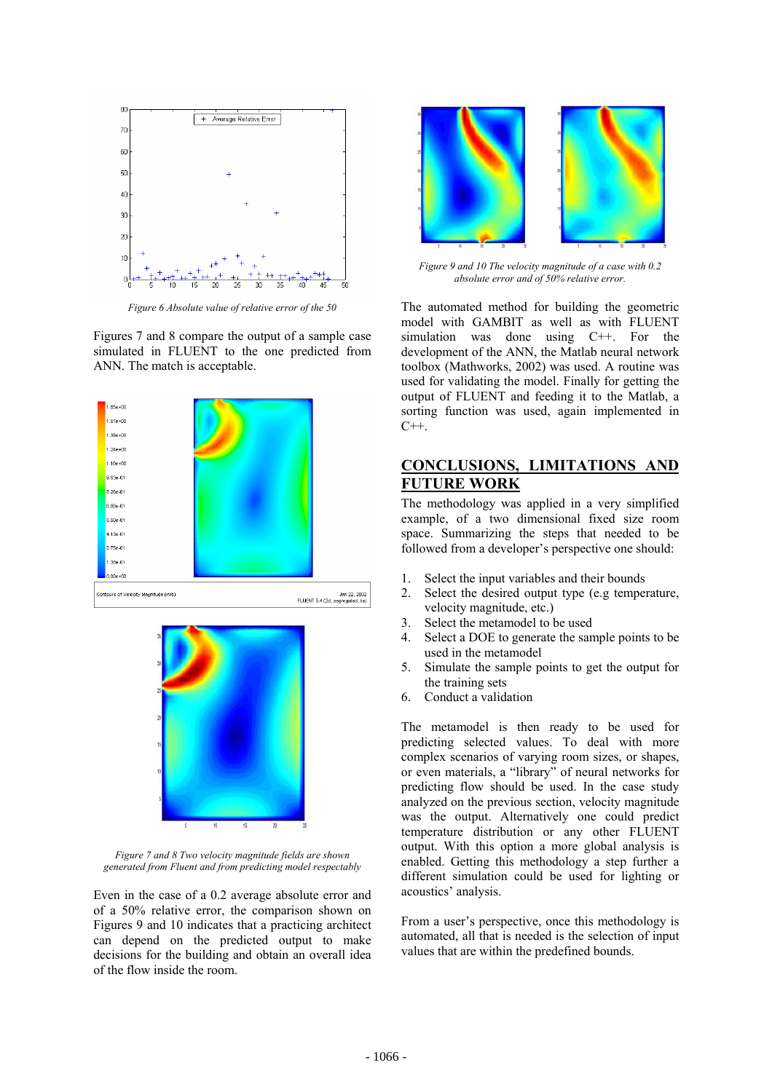

*Figure 6 Absolute value of relative error of the 50*

Figures 7 and 8 compare the output of a sample case simulated in FLUENT to the one predicted from ANN. The match is acceptable.



*Figure 7 and 8 Two velocity magnitude fields are shown generated from Fluent and from predicting model respectably* 

Even in the case of a 0.2 average absolute error and of a 50% relative error, the comparison shown on Figures 9 and 10 indicates that a practicing architect can depend on the predicted output to make decisions for the building and obtain an overall idea of the flow inside the room.



 *Figure 9 and 10 The velocity magnitude of a case with 0.2 absolute error and of 50% relative error.* 

The automated method for building the geometric model with GAMBIT as well as with FLUENT simulation was done using C++. For the development of the ANN, the Matlab neural network toolbox (Mathworks, 2002) was used. A routine was used for validating the model. Finally for getting the output of FLUENT and feeding it to the Matlab, a sorting function was used, again implemented in  $C++$ .

# **CONCLUSIONS, LIMITATIONS AND FUTURE WORK**

The methodology was applied in a very simplified example, of a two dimensional fixed size room space. Summarizing the steps that needed to be followed from a developer's perspective one should:

- 1. Select the input variables and their bounds
- 2. Select the desired output type (e.g temperature, velocity magnitude, etc.)
- 3. Select the metamodel to be used
- 4. Select a DOE to generate the sample points to be used in the metamodel
- 5. Simulate the sample points to get the output for the training sets
- 6. Conduct a validation

The metamodel is then ready to be used for predicting selected values. To deal with more complex scenarios of varying room sizes, or shapes, or even materials, a "library" of neural networks for predicting flow should be used. In the case study analyzed on the previous section, velocity magnitude was the output. Alternatively one could predict temperature distribution or any other FLUENT output. With this option a more global analysis is enabled. Getting this methodology a step further a different simulation could be used for lighting or acoustics' analysis.

From a user's perspective, once this methodology is automated, all that is needed is the selection of input values that are within the predefined bounds.